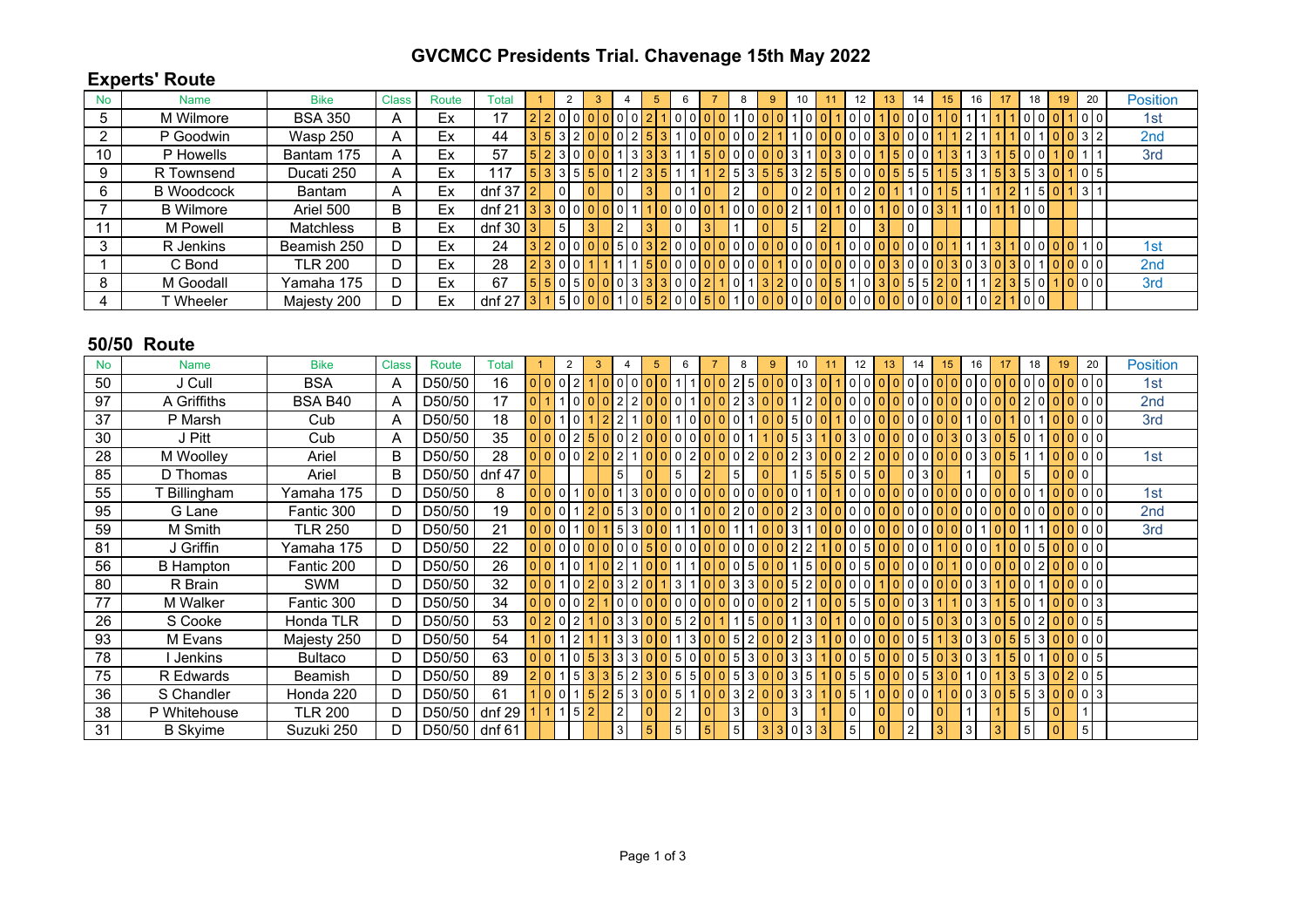## **GVCMCC Presidents Trial. Chavenage 15th May 2022**

## **Experts' Route**

| <b>No</b> | Name              | <b>Bike</b>    | <b>Class</b> | Route | Total        |                |          |  |   |  |  |  |     |   | 10 |   | 13 |                |  | 16 |  | 18                 |                  | 19 | 20             | <b>Position</b> |  |
|-----------|-------------------|----------------|--------------|-------|--------------|----------------|----------|--|---|--|--|--|-----|---|----|---|----|----------------|--|----|--|--------------------|------------------|----|----------------|-----------------|--|
| 5         | M Wilmore         | <b>BSA 350</b> | n            | Ex    | 17           | $\overline{2}$ |          |  |   |  |  |  |     |   |    |   |    |                |  |    |  |                    |                  |    | 1010           | 1st             |  |
|           | P Goodwin         | Wasp 250       | A            | Ex    | 44           | 3              |          |  |   |  |  |  |     |   |    |   |    |                |  |    |  |                    |                  |    | 3 2            | 2nd             |  |
| 10        | P Howells         | Bantam 175     | A            | Ex    | 57           | 5              |          |  |   |  |  |  |     |   |    |   |    | $\Omega$       |  |    |  |                    |                  |    |                | 3rd             |  |
| 9         | R Townsend        | Ducati 250     | A            | Ex    | 17           | 5              |          |  |   |  |  |  | l b |   |    |   |    |                |  |    |  |                    | 3                |    | 0 5            |                 |  |
| 6         | <b>B</b> Woodcock | Bantam         | A            | Ex    | dnf 37       | $\overline{2}$ | 0        |  | 0 |  |  |  |     |   |    |   |    | $\Omega$       |  |    |  |                    | - 5              |    | 311            |                 |  |
|           | <b>B</b> Wilmore  | Ariel 500      | В            | Ex    | $dnf$ 21     |                | $\Omega$ |  |   |  |  |  |     |   |    |   |    | 01<br>$\Omega$ |  |    |  |                    | $\overline{101}$ |    |                |                 |  |
|           | M Powell          | Matchless      | B.           | Ex    | dnf $30 3 $  |                | 5        |  | 2 |  |  |  |     | 5 |    | 0 |    | 0              |  |    |  |                    |                  |    |                |                 |  |
| 3         | R Jenkins         | Beamish 250    | D            | Ex    | 24           | 3              |          |  |   |  |  |  |     |   |    |   |    |                |  |    |  |                    |                  |    | ۱٥ι            | 1st             |  |
|           | C Bond            | <b>TLR 200</b> | D.           | Ex    | 28           | $\overline{2}$ |          |  |   |  |  |  |     |   |    |   |    |                |  |    |  |                    |                  |    | 0 0            | 2nd             |  |
| 8         | M Goodall         | Yamaha 175     | D.           | Ex    | 67           | 5              |          |  |   |  |  |  |     |   |    |   |    |                |  |    |  |                    |                  |    | 0 <sub>0</sub> | 3rd             |  |
|           | Wheeler           | Majesty 200    | D.           | Ex    | dnf 27 $ 3 $ |                |          |  |   |  |  |  |     |   |    |   |    | 0 <sub>0</sub> |  |    |  | $\overline{10101}$ |                  |    |                |                 |  |

## **50/50 Route**

| <b>No</b> | <b>Name</b>      | <b>Bike</b>    | <b>Class</b> | Route         | Total  | $\overline{2}$ |      | 3 |                | 5 | 6 |  | 8              | 9 |          | 10 | 11 | 12              |   | 13 | 14 | 15 | 16 |   | 18 | 19       | 20              | <b>Position</b> |  |
|-----------|------------------|----------------|--------------|---------------|--------|----------------|------|---|----------------|---|---|--|----------------|---|----------|----|----|-----------------|---|----|----|----|----|---|----|----------|-----------------|-----------------|--|
| 50        | J Cull           | <b>BSA</b>     | A            | D50/50        | 16     |                |      |   |                |   |   |  |                |   | 0        |    |    |                 |   |    |    |    |    |   |    |          | $\Omega$        | 1st             |  |
| 97        | A Griffiths      | <b>BSA B40</b> | A            | D50/50        | 17     |                |      |   |                |   |   |  |                |   |          |    |    |                 |   |    |    |    |    |   |    |          |                 | 2nd             |  |
| 37        | P Marsh          | Cub            | A            | D50/50        | 18     |                |      |   |                |   |   |  |                |   | 5        |    |    |                 |   |    |    |    |    |   |    |          | $\Omega$        | 3rd             |  |
| 30        | J Pitt           | Cub            | A            | D50/50        | 35     |                |      |   |                |   |   |  |                |   |          |    |    |                 |   |    |    |    |    |   |    |          | 0 <sup>10</sup> |                 |  |
| 28        | M Woolley        | Ariel          | B            | D50/50        | 28     |                |      |   |                |   |   |  |                |   |          |    |    |                 |   |    |    |    |    |   |    |          |                 | 1st             |  |
| 85        | D Thomas         | Ariel          | B            | D50/50        | dnf 47 |                |      |   |                |   |   |  |                |   |          |    |    |                 |   |    |    |    |    |   |    |          | 0               |                 |  |
| 55        | Billingham       | Yamaha 175     | D            | D50/50        | 8      |                |      |   |                |   |   |  | 0              |   | 0        |    |    |                 |   |    |    |    |    |   |    |          | 0               | 1st             |  |
| 95        | G Lane           | Fantic 300     | D            | D50/50        | 19     |                |      |   |                |   |   |  |                |   |          |    |    |                 |   |    |    |    |    |   |    |          |                 | 2nd             |  |
| 59        | M Smith          | <b>TLR 250</b> | D            | D50/50        | 21     |                |      |   |                |   |   |  |                |   | 3        |    |    |                 |   |    |    |    |    |   |    |          |                 | 3rd             |  |
| 81        | J Griffin        | Yamaha 175     | D            | D50/50        | 22     |                |      |   |                |   |   |  |                |   |          |    |    |                 |   |    |    |    |    |   |    |          |                 |                 |  |
| 56        | <b>B</b> Hampton | Fantic 200     | D            | D50/50        | 26     |                |      |   |                |   |   |  | 0<br>5         |   |          | 5  |    | 0 <sub>15</sub> |   |    |    |    |    |   |    |          | 0 <sub>0</sub>  |                 |  |
| 80        | R Brain          | <b>SWM</b>     | D            | D50/50        | 32     |                |      |   |                |   | 3 |  | 3              |   | 5        |    |    |                 |   |    |    |    |    |   |    |          | 0 <sup>0</sup>  |                 |  |
| 77        | M Walker         | Fantic 300     | D            | D50/50        | 34     |                |      |   |                |   |   |  | $\overline{0}$ |   |          |    |    | 0 5 5           |   |    |    |    |    |   |    |          | 0 <sup>3</sup>  |                 |  |
| 26        | S Cooke          | Honda TLR      | D            | D50/50        | 53     |                |      |   |                |   |   |  |                |   |          |    |    |                 |   |    |    |    |    |   |    |          | 015             |                 |  |
| 93        | M Evans          | Majesty 250    | D            | D50/50        | 54     |                |      |   |                |   |   |  | 5 <sub>1</sub> |   |          | 3  |    |                 |   |    |    |    |    |   |    |          | 0 <sub>0</sub>  |                 |  |
| 78        | Jenkins          | <b>Bultaco</b> | D            | D50/50        | 63     |                |      |   |                |   |   |  | 5              |   | 3        |    |    |                 | 5 |    |    |    |    |   |    |          | 0 <sub>5</sub>  |                 |  |
| 75        | R Edwards        | Beamish        | D            | D50/50        | 89     |                |      |   |                |   |   |  | 5              |   | 3        |    |    | 5 <sub>l</sub>  | 5 |    |    |    |    |   |    |          | 0 <sub>5</sub>  |                 |  |
| 36        | S Chandler       | Honda 220      | D            | D50/50        | 61     |                |      |   |                |   |   |  | 3              |   |          |    |    |                 |   |    |    |    |    |   |    |          | 0 3             |                 |  |
| 38        | P Whitehouse     | <b>TLR 200</b> | D            | D50/50        | dnf 29 |                | 1151 |   |                |   | 2 |  | 3              |   | 3        |    |    | 0               |   |    |    |    |    | 5 |    |          |                 |                 |  |
| 31        | <b>B</b> Skyime  | Suzuki 250     | D            | D50/50 dnf 61 |        |                |      |   | 3 <sup>1</sup> |   |   |  | 5              | 3 | $\Omega$ | 3  |    | 5 <sup>1</sup>  |   |    |    |    | 3  | 5 |    | $\Omega$ | $5\phantom{.0}$ |                 |  |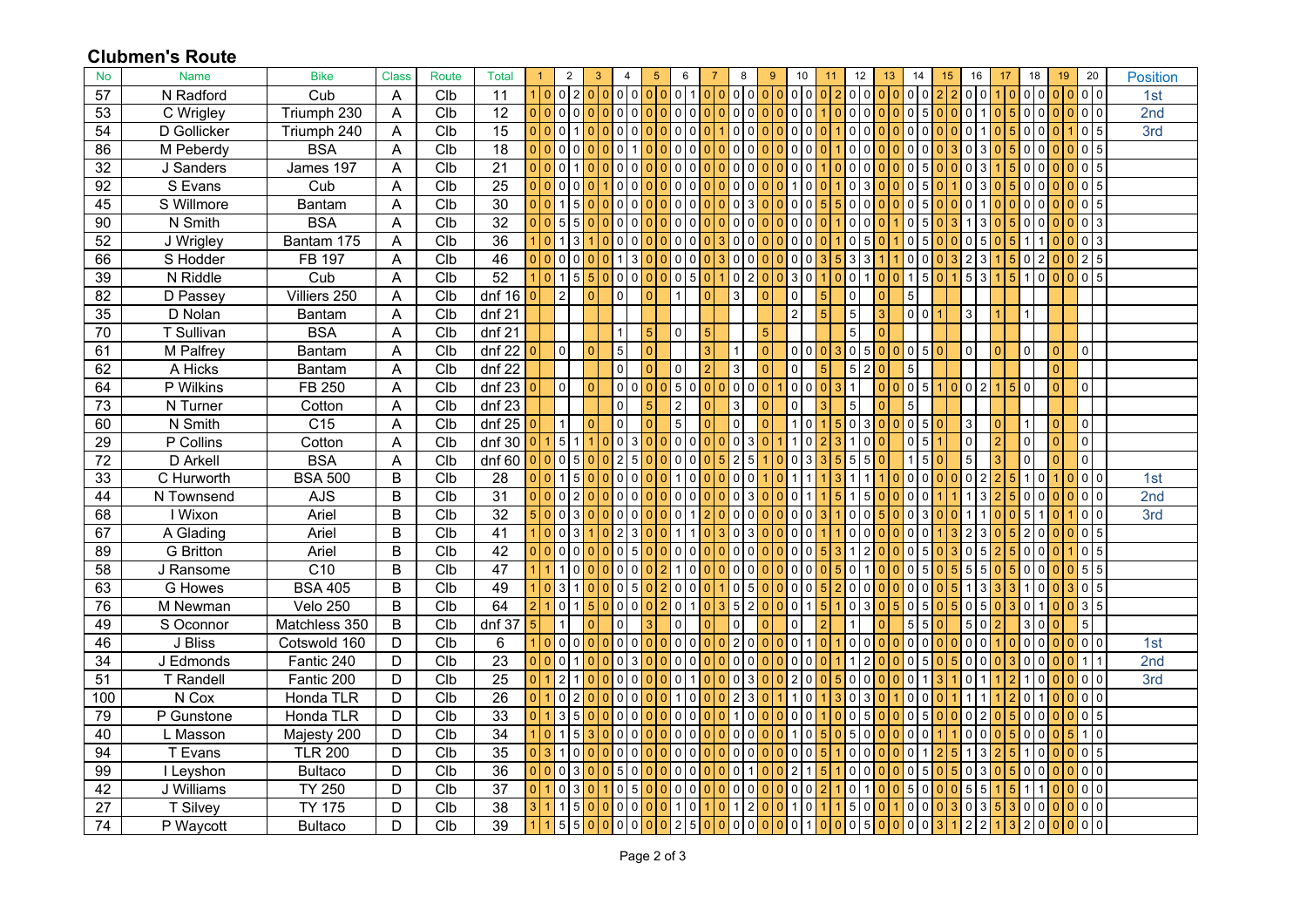## **Clubmen's Route**

| No              | <b>Name</b>            | <b>Bike</b>      | <b>Class</b> | Route           | <b>Total</b>    | $\overline{1}$       | $\overline{2}$    | 3                                |                | $\overline{4}$             | $5\phantom{.0}$ |                | 6                                                   | 7               |                                  | 8               | 9               |                | 10                            | 11       |          | 12                                |                | 13 <sup>°</sup> | 14                               | 15 | 16              |       | 17        |                | 18              | 19             |                 | 20                            |  | <b>Position</b> |  |
|-----------------|------------------------|------------------|--------------|-----------------|-----------------|----------------------|-------------------|----------------------------------|----------------|----------------------------|-----------------|----------------|-----------------------------------------------------|-----------------|----------------------------------|-----------------|-----------------|----------------|-------------------------------|----------|----------|-----------------------------------|----------------|-----------------|----------------------------------|----|-----------------|-------|-----------|----------------|-----------------|----------------|-----------------|-------------------------------|--|-----------------|--|
| 57              | N Radford              | Cub              | A            | Clb             | 11              | $1\overline{0}$      | 0 <sub>2</sub>    |                                  |                |                            | 0 0 0 0 0       |                | 0 <sup>1</sup>                                      | 0 <sup>10</sup> |                                  | 0 <sup>10</sup> |                 | $\Omega$       | 0 <sup>10</sup>               |          |          | 0 0                               |                |                 | alalalal                         |    | 0 <sup>10</sup> |       |           |                | 0 <sup>10</sup> |                |                 | 0 <sub>0</sub>                |  | 1st             |  |
| 53              | C Wrigley              | Triumph 230      | A            | C <sub>1</sub>  | $\overline{12}$ |                      |                   | 000000000000000000               |                |                            |                 |                |                                                     |                 |                                  | 1010            | $\Omega$        | $\overline{0}$ | 0 <sup>0</sup>                |          | $\Omega$ | 0 0                               |                |                 | 0 0 0 5 0                        |    |                 |       | 0 0 1 0 5 |                | 0 0             | 00000          |                 |                               |  | 2nd             |  |
| 54              | D Gollicker            | Triumph 240      | A            | Clb             | 15              | $\Omega$<br>$\Omega$ | 0                 | $\Omega$                         | $\Omega$       | 0 <sup>o</sup>             |                 |                | 0 <sup>10</sup>                                     |                 | $\overline{0}$                   | $\mathbf 0$     | $\Omega$        | $\Omega$       | $\mathbf 0$<br>$\overline{0}$ | $\Omega$ |          | $\mathbf 0$<br>$\Omega$           | n.             |                 | 0 <sup>o</sup>                   |    | 0 <sub>1</sub>  |       |           | $\mathbf 0$    | $\mathbf 0$     |                |                 | $\pmb{0}$<br>$5\phantom{.0}$  |  | 3rd             |  |
| 86              | M Peberdy              | <b>BSA</b>       | A            | C <sub>1b</sub> | 18              | $\Omega$<br>$\Omega$ | $\overline{0}$    | $\overline{0}$<br>$\Omega$       |                | $\Omega$                   |                 |                | $0100$                                              |                 | $\overline{0}$<br>l O            | $\overline{0}$  | $\Omega$        | $\mathbf{0}$   | $\mathbf 0$<br>0              |          |          | $\mathbf 0$<br>$\mathbf 0$        |                | $\Omega$        | 0 0                              |    | 0 3             |       | 5         | $\overline{0}$ | $\mathbf 0$     |                | $\mathbf{0}$    | 0 <sub>5</sub>                |  |                 |  |
| 32              | J Sanders              | James 197        | Α            | C <sub>1</sub>  | $\overline{21}$ | $\Omega$             | 0                 |                                  |                | $\Omega$<br>$\overline{0}$ |                 |                |                                                     |                 | $\mathbf 0$                      | $\Omega$        |                 |                | 0<br>$\Omega$                 |          |          | 0<br>0                            |                |                 | $\Omega$<br>51                   |    |                 |       |           | $\Omega$       |                 |                |                 | $\pmb{0}$<br>5                |  |                 |  |
| $\overline{92}$ | S Evans                | Cub              | A            | Clb             | $\overline{25}$ | 0 0                  | 0 <sup>10</sup>   | $\overline{0}$                   |                | $\Omega$                   | 00000000        |                |                                                     |                 |                                  | 0 0             | $\Omega$        | $\Omega$       | $\mathbf 0$<br>1              |          |          | $\overline{0}$<br>3               |                | $\cap$          | $\overline{0}$<br>5 <sup>1</sup> |    | 01310           |       | 15        | $\overline{0}$ | $\Omega$        |                |                 | 0 <sub>5</sub>                |  |                 |  |
| 45              | S Willmore             | Bantam           | A            | C <sub>1</sub>  | $\overline{30}$ |                      |                   |                                  |                | $\Omega$<br>0 <sup>b</sup> |                 | $\mathbf{0}$   | 0                                                   |                 | $\mathbf 0$                      | 3               |                 |                | 0<br>$\Omega$                 |          |          | 0<br>0                            |                |                 | $\Omega$<br>5                    |    |                 |       |           |                |                 |                |                 | $0\vert 5$                    |  |                 |  |
| 90              | N Smith                | <b>BSA</b>       | A            | C <sub>1</sub>  | 32              | $\Omega$<br>$\Omega$ | 5 5               | $\overline{0}$                   |                | 0 <sub>0</sub>             |                 |                | $00000$                                             |                 |                                  | 0 0             | $\Omega$        | $\Omega$       | $\mathbf 0$<br>$\overline{0}$ | $\Omega$ |          | $\overline{0}$<br>$\overline{0}$  |                |                 | $\Omega$<br>5 <sup>1</sup>       |    |                 |       |           | 0              | $\Omega$        |                | $\Omega$        | 0 <sup>3</sup>                |  |                 |  |
| $\overline{52}$ | J Wrigley              | Bantam 175       | A            | C1b             | 36              |                      |                   |                                  |                | $\overline{0}$             |                 | $\overline{0}$ |                                                     |                 | $\mathbf 0$                      | $\mathbf 0$     |                 |                | 0                             |          |          | 5<br>0                            |                |                 |                                  |    |                 |       |           |                |                 |                |                 | $\overline{0}$ 3              |  |                 |  |
| 66              | S Hodder               | <b>FB 197</b>    | A            | C <sub>1</sub>  | 46              | 0 0                  | 0 <sup>o</sup>    |                                  |                | 0 0 1 3 0                  |                 |                | $\overline{\phantom{0}}$ 0 $\overline{\phantom{0}}$ |                 | <b>3</b>                         | 0 0             | $\Omega$        | $\Omega$       | 0 <sup>10</sup>               | 3        |          | $\mathbf{3}$<br>3                 |                |                 | $\Omega$<br>$\overline{0}$       |    | $\overline{2}$  | l 3   |           | $\overline{0}$ | 2               |                |                 | $2\overline{5}$               |  |                 |  |
| 39              | N Riddle               | Cub              | A            | C <sub>1b</sub> | 52              |                      |                   | 5 <sup>5</sup>                   |                | 0 0                        |                 |                | $0 \mid 5 \mid 0$                                   |                 | $\overline{0}$                   | $\overline{2}$  | $\Omega$        |                | 3<br>$\mathbf 0$              |          |          | 0                                 |                |                 | $0 \mid 1 \mid 5$                |    | 53              |       | 5         |                | $\mathbf 0$     | $\Omega$       |                 | $0$ 0 5                       |  |                 |  |
| $\overline{82}$ | D Passey               | Villiers 250     | A            | C <sub>1</sub>  | $dnf$ 16        | $\Omega$             | 2 <sup>1</sup>    | $\Omega$                         |                | $\Omega$                   |                 |                |                                                     |                 | 3                                |                 | $\Omega$        |                | $\pmb{0}$                     | 5        |          | $\mathbf 0$                       | $\Omega$       |                 | 5 <sub>5</sub>                   |    |                 |       |           |                |                 |                |                 |                               |  |                 |  |
| 35              | D Nolan                | Bantam           | Α            | Clb             | dnf 21          |                      |                   |                                  |                |                            |                 |                |                                                     |                 |                                  |                 |                 |                | $\overline{2}$                |          |          | $\mathbf 5$                       |                |                 | 0 <sub>0</sub>                   |    | 3               |       |           |                |                 |                |                 |                               |  |                 |  |
| 70              | T Sullivan             | <b>BSA</b>       | Α            | Clb             | $dnf$ 21        |                      |                   |                                  |                |                            |                 | $\Omega$       |                                                     |                 |                                  |                 |                 |                |                               |          |          | $\mathbf 5$                       |                |                 |                                  |    |                 |       |           |                |                 |                |                 |                               |  |                 |  |
| 61              | M Palfrey              | Bantam           | A            | Clb             | $dnf$ 22        |                      | $\mathsf{o}$      | $\Omega$                         |                | 5 <sub>l</sub>             |                 |                |                                                     |                 |                                  |                 |                 |                | 0 <sub>0</sub>                | $\Omega$ |          | $\overline{0}$<br>5 <sub>1</sub>  | $\overline{0}$ |                 | 0 0 5                            |    | $\Omega$        |       |           | $\mathbf 0$    |                 | $\mathbf{0}$   |                 | $\pmb{0}$                     |  |                 |  |
| 62              | A Hicks                | Bantam           | A            | Clb             | $dnf$ 22        |                      |                   |                                  |                | $\overline{0}$             |                 | $\Omega$       |                                                     |                 | 3                                |                 |                 |                | $\pmb{0}$                     |          |          | $\overline{5}$<br>$\overline{2}$  |                |                 | $5\overline{5}$                  |    |                 |       |           |                |                 | $\mathbf{0}$   |                 |                               |  |                 |  |
| 64              | P Wilkins              | FB 250           | A            | C <sub>1</sub>  | $dnf$ 23        |                      | 0                 |                                  |                | 0 0 0                      |                 | 0 5 0 0        |                                                     |                 | $\overline{0}$<br>l 0            | $\overline{0}$  | $\overline{0}$  |                | 0 <sub>0</sub>                | $\Omega$ |          |                                   | 01             |                 | 0 0 5 1 0 0 2                    |    |                 |       | l 5       | $\overline{0}$ |                 | $\overline{0}$ |                 | $\pmb{0}$                     |  |                 |  |
| $\overline{73}$ | $\overline{N}$ Turner  | Cotton           | A            | C1b             | $dnf$ 23        |                      |                   |                                  |                | $\Omega$                   |                 | $\overline{2}$ |                                                     |                 | 3                                |                 | $\Omega$        |                | $\mathbf 0$                   |          |          | $\overline{5}$                    | U              |                 | 5 <sup>1</sup>                   |    |                 |       |           |                |                 |                |                 |                               |  |                 |  |
| 60              | N Smith                | $\overline{C15}$ | A            | C1b             | $dnf$ 25        |                      |                   | n                                |                | $\Omega$                   |                 | 5              |                                                     |                 | $\mathbf 0$                      |                 | $\Omega$        |                | $\Omega$                      |          |          | $\overline{0}$<br>3               | n.             |                 | 0 0 5                            |    | 3               |       |           |                |                 | $\Omega$       |                 | $\mathsf 0$                   |  |                 |  |
| $\overline{29}$ | $\overline{P}$ Collins | Cotton           | Α            | C1b             | dnf 30          |                      | 5                 |                                  |                | $\Omega$<br>3              |                 |                |                                                     |                 | <b>0</b>                         | 3               |                 |                | $\Omega$                      |          |          | $\Omega$                          |                |                 | $\Omega$<br>5                    |    | $\Omega$        |       |           | $\mathbf 0$    |                 | $\Omega$       |                 | $\overline{\mathbf{0}}$       |  |                 |  |
| $\overline{72}$ | D Arkell               | <b>BSA</b>       | А            | Clb             | dnf 60          | $\Omega$             | 0 <sub>5</sub>    | $\Omega$                         |                | 2 5                        |                 |                | 01010                                               |                 | 2<br>5                           | 5               |                 | $\Omega$       | $\mathbf 0$<br>3              |          |          | $5\phantom{.0}$<br>5              |                |                 | $1\overline{5}$                  |    | 5               |       |           | $\mathbf 0$    |                 | $\Omega$       |                 | $\pmb{0}$                     |  |                 |  |
| 33              | C Hurworth             | <b>BSA 500</b>   | B            | Clb             | 28              | $\Omega$             |                   | 5 <sup>1</sup><br>$\Omega$       |                | $\Omega$                   | $0\,$ l $0$     |                |                                                     |                 | 0<br>-C                          | $\Omega$        |                 |                |                               |          |          |                                   |                |                 | $\Omega$<br>$\Omega$             |    | 012             |       |           |                |                 |                |                 | $0$ 0                         |  | 1st             |  |
| $\overline{44}$ | N Townsend             | <b>AJS</b>       | B            | Clb             | $\overline{31}$ | 0 0                  | 0 <sub>2</sub>    | $\overline{0}$                   | $\Omega$       | 0 <sub>0</sub>             |                 |                | $00000$                                             |                 | 0                                | 3               | $\Omega$        | $\Omega$       | $\mathbf 0$                   |          |          | 5<br>1 <sup>1</sup>               |                | $\cap$          | $\Omega$<br>$\Omega$             |    |                 |       |           | $\Omega$       | $\Omega$        |                |                 | 0 <sup>10</sup>               |  | 2nd             |  |
| 68              | <b>TWixon</b>          | Ariel            | B            | C <sub>1</sub>  | $\overline{32}$ |                      | 0                 |                                  |                | $\Omega$<br>$\overline{0}$ |                 |                | $\Omega$                                            |                 | $\overline{0}$<br>$\Omega$       | $\mathbf 0$     |                 |                | $\mathbf 0$<br>$\mathbf 0$    |          |          | 0<br>0                            |                |                 | 3<br>$\Omega$                    |    |                 |       |           |                |                 |                |                 | 0<br>$\pmb{0}$                |  | 3rd             |  |
| 67              | A Glading              | Ariel            | B            | C1b             | 41              | $\Omega$             | $\overline{0}$    | 3 <sup>1</sup>                   |                | 0 2 3 0                    |                 |                |                                                     |                 | $\overline{0}$<br>3              | 3               | $\overline{0}$  | $\mathbf{0}$   | $\mathbf 0$<br>l 0            |          |          | $\overline{0}$<br>$\overline{0}$  | $\overline{0}$ | $\Omega$        | 0101                             |    |                 | l 3   |           | $\overline{2}$ | $\mathbf 0$     |                | $\mathbf{0}$    | 0 <sub>5</sub>                |  |                 |  |
| 89              | <b>G</b> Britton       | Ariel            | B            | C1b             | $\overline{42}$ | $\Omega$             | 0                 |                                  |                | 5 <sub>1</sub>             |                 |                | 000                                                 |                 | $\overline{0}$                   | $\mathbf 0$     |                 |                | 0<br>0                        |          |          | $\overline{2}$                    |                |                 |                                  |    |                 |       |           | $\mathbf 0$    | $\mathbf 0$     |                |                 | 0 <sub>5</sub>                |  |                 |  |
| 58              | J Ransome              | $\overline{C10}$ | B            | C1b             | $\overline{47}$ |                      | 1 <sup>1</sup>    | $\overline{0}$<br>٥I             |                |                            | 000002          | l 1            |                                                     | $0\ 0\ 0$       |                                  | 1010            | 0 <sup>10</sup> |                | 0 <sup>0</sup>                | $\Omega$ |          | $\overline{0}$<br>1 <sup>1</sup>  |                |                 | 0 <sub>5</sub>                   |    | -5              | 5     |           | $\overline{0}$ | $\Omega$        |                |                 | $5\overline{5}$               |  |                 |  |
| 63              | G Howes                | <b>BSA 405</b>   | B            | C <sub>1</sub>  | 49              |                      | 3                 |                                  |                | 0 <sub>5</sub>             |                 |                | 0 <sub>0</sub>                                      |                 | $\overline{0}$                   | $5\phantom{.0}$ | $\Omega$        |                | $\pmb{0}$<br>$\mathbf 0$      |          |          | $\overline{0}$<br>0               |                |                 | 0 <sub>0</sub>                   |    |                 | l 3   | -3        |                | $\mathbf 0$     |                |                 | $0\overline{5}$               |  |                 |  |
| 76              | M Newman               | Velo 250         | B            | C <sub>1</sub>  | 64              |                      | 0                 | 51                               | $\Omega$       | 0 <sub>0</sub>             |                 |                | 0110                                                |                 | $\overline{5}$<br>3              | $\overline{2}$  | $\Omega$        | $\Omega$       | $\mathbf 0$<br>$\mathbf{1}$   | 5        |          | $\overline{0}$<br>$\overline{3}$  | $\Omega$       | 51              | 0 <sub>15</sub>                  |    | 0 <sub>5</sub>  |       | з         | $\mathbf 0$    |                 |                |                 | 3 5                           |  |                 |  |
| 49              | S Oconnor              | Matchless 350    | B            | C1b             | dnf 37          |                      |                   |                                  |                |                            |                 |                |                                                     |                 | <b>0</b>                         |                 |                 |                | 0                             |          |          |                                   |                |                 | 5 5                              |    | -5              | l 0 l |           | 3              | $\Omega$        |                |                 | $\,$ 5 $\,$                   |  |                 |  |
| 46              | J Bliss                | Cotswold 160     | D            | C <sub>1</sub>  | 6               |                      | $\Omega$          | $\Omega$                         | 0 <sup>1</sup> | 0.00                       |                 |                | 0 0 0                                               |                 | $\overline{2}$<br>$\overline{0}$ | $\Omega$        | $\Omega$        |                | $\mathbf 0$                   |          |          | $\overline{0}$<br>$\Omega$        | n              |                 | $\Omega$<br>$\Omega$             |    | 0 <sup>10</sup> |       |           | $\Omega$       | $\Omega$        |                |                 | 0 <sub>0</sub>                |  | 1st             |  |
| 34              | J Edmonds              | Fantic 240       | D            | Clb             | 23              | $\Omega$<br>$\Omega$ | 0                 | 0 I                              | 0 0            |                            | 3 0             | 0 0 0 0 0 0    |                                                     |                 |                                  | 0 0             | $\Omega$        | $\overline{0}$ | 0 <sub>0</sub>                | $\Omega$ |          | $\overline{2}$                    |                | $\cap$          | $\Omega$<br>$5 \cdot$            |    |                 |       | $00003$   | $\overline{0}$ | $\mathbf 0$     |                |                 | 1 <sup>1</sup>                |  | 2nd             |  |
| 51              | T Randell              | Fantic 200       | D            | C <sub>1</sub>  | $\overline{25}$ | $\Omega$             | $\overline{2}$    | $\Omega$                         | $\overline{0}$ | 0 <sub>0</sub>             |                 |                | 0 <sub>1</sub>                                      |                 | $\overline{0}$<br>$\Omega$       | 3               | $\Omega$        |                | 2<br>l 0                      | $\Omega$ |          | $\overline{0}$<br>$\Omega$        |                |                 | $\Omega$                         |    | 011             |       |           |                | $\mathbf 0$     |                |                 | 0 <sub>0</sub>                |  | 3rd             |  |
| 100             | N Cox                  | Honda TLR        | D            | C <sub>1</sub>  | $\overline{26}$ |                      | 0                 | $\Omega$                         | $\overline{0}$ | 0 0 0                      |                 |                | 0 <sup>o</sup>                                      |                 | 2<br>$\overline{0}$              | 3               | $\Omega$        |                | 0                             |          |          | $\overline{0}$<br>3               |                |                 | $\overline{0}$<br>$\Omega$       |    |                 |       |           | $\mathbf 0$    |                 |                |                 | 0 <sub>0</sub>                |  |                 |  |
| 79              | P Gunstone             | Honda TLR        | D            | C <sub>1</sub>  | 33              | $\Omega$             | 3 <sup>1</sup>    | 5 <sub>l</sub><br>$\overline{0}$ | $\Omega$       | $\overline{0}$             | 0 <sup>o</sup>  | $\overline{0}$ | <b>00</b>                                           |                 | -C                               | $\Omega$        |                 |                | $\mathbf 0$<br>$\mathbf 0$    |          |          | 5<br>0                            | n.             | ΩI              | $\Omega$<br>5 <sub>l</sub>       |    | $\Omega$        |       |           | $\mathbf 0$    | $\Omega$        |                |                 | $\pmb{0}$<br>5                |  |                 |  |
| 40              | L Masson               | Majesty 200      | D            | C <sub>1</sub>  | $\overline{34}$ | 1 0                  | $1 \vert 5 \vert$ |                                  |                |                            | 300000000000    |                |                                                     |                 |                                  | 0 0             | $\Omega$        | $\overline{0}$ | $1\overline{0}$               | 5.       | $\Omega$ | 50                                | ΩI             | $\overline{0}$  | 0 0                              |    |                 |       | 00005     | $\overline{0}$ | $\Omega$        | $\Omega$       | $5\overline{)}$ | 10                            |  |                 |  |
| 94              | T Evans                | <b>TLR 200</b>   | D            | C <sub>1</sub>  | $\overline{35}$ | $\Omega$<br>3        |                   | $\Omega$                         |                | $\Omega$                   | 0 <sup>o</sup>  |                | 0 0                                                 |                 | $\overline{0}$<br>-C             | $\mathbf 0$     | $\Omega$        |                | $\mathbf 0$<br>$\Omega$       |          |          | 0<br>$\Omega$                     |                |                 | $\Omega$                         |    |                 | 3     |           |                | $\Omega$        |                |                 | $\overline{0}$ 5              |  |                 |  |
| 99              | I Leyshon              | <b>Bultaco</b>   | D            | C1b             | 36              | $\Omega$<br>$\Omega$ | 0 <sub>3</sub>    | $\overline{0}$                   |                | 0 5 0 0                    |                 |                | $00000$                                             |                 | $\overline{0}$                   |                 | $\Omega$        | $\Omega$       | $\overline{2}$<br>-1          | 5        |          | $\overline{0}$<br>$\overline{0}$  | 01             | $\Omega$        | 0 <sub>5</sub>                   |    | 0 <sub>13</sub> |       | 5         | 0              | $\Omega$        |                | $\Omega$        | 0 0                           |  |                 |  |
| 42              | <b>J</b> Williams      | <b>TY 250</b>    | D            | C <sub>1</sub>  | $\overline{37}$ | $\Omega$             | $\overline{0}$    | $\overline{3}$                   |                | 5 <sup>b</sup><br>$\Omega$ |                 |                | 0100                                                |                 | l O<br>l 0                       | $\mathbf 0$     | $\mathbf{0}$    | $\mathbf{0}$   | 0<br>0                        |          |          | 0                                 |                |                 | <sup>5</sup><br>$\Omega$         |    |                 | 5     |           |                |                 |                |                 | $\overline{0}$                |  |                 |  |
| $\overline{27}$ | T Silvey               | <b>TY 175</b>    | D            | C1b             | 38              | 3 1                  |                   | 150000000101                     |                |                            |                 |                |                                                     |                 | 10                               | $1\overline{2}$ | $\Omega$        | $\Omega$       | 110                           |          |          | $5\overline{5}$<br>$\overline{0}$ | ΩI             |                 | 100                              |    | 0 <sup>3</sup>  |       | 513       |                | 0 0             | $\Omega$       | $\overline{0}$  | 0 0                           |  |                 |  |
| $\overline{74}$ | P Waycott              | <b>Bultaco</b>   | D            | C <sub>1</sub>  | 39              |                      | $5\vert$          | 5 <sup>1</sup>                   |                |                            |                 | 2              | 5                                                   |                 | $\overline{0}$<br>$\Omega$       | $\mathbf 0$     | $\Omega$        |                | 0                             |          |          | 5<br>0                            |                |                 | $\overline{0}$                   |    |                 |       |           | $\overline{2}$ | $\mathsf 0$     |                |                 | $\overline{0}$ $\overline{0}$ |  |                 |  |